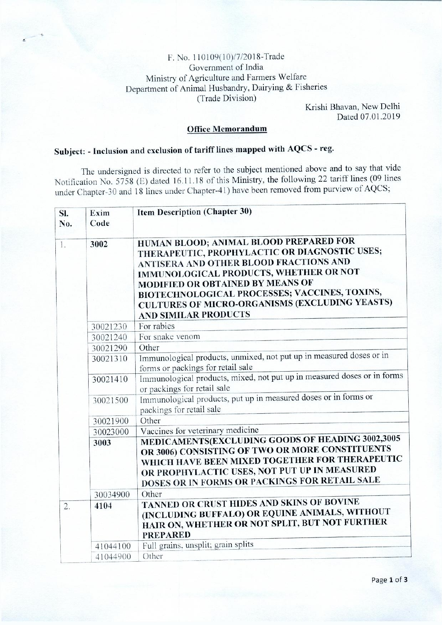## F. No. 110109(10)/7/2018-Trade Government of India Ministry of Agriculture and Farmers Welfare Department of Animal Husbandry, Dairying & Fisheries (Trade Division)

Krishi Bhavan, New Delhi Dated 07.01.2019

## **Office Memorandum**

## **Subject: - Inclusion and exclusion of tariff lines mapped with AQCS - reg.**

The undersigned is directed to refer to the subject mentioned above and to say that vide Notification No. 5758 (E) dated 16.11.18 of this Ministry, the following 22 tariff lines (09 lines under Chapter-30 and 18 lines under Chapter-41) have been removed from purview of AQCS;

| Sl.<br>No. | Exim<br>Code | <b>Item Description (Chapter 30)</b>                                                                                                                                                                                                                                                                                                                     |  |  |  |
|------------|--------------|----------------------------------------------------------------------------------------------------------------------------------------------------------------------------------------------------------------------------------------------------------------------------------------------------------------------------------------------------------|--|--|--|
| 1.         | 3002         | HUMAN BLOOD; ANIMAL BLOOD PREPARED FOR<br>THERAPEUTIC, PROPHYLACTIC OR DIAGNOSTIC USES;<br>ANTISERA AND OTHER BLOOD FRACTIONS AND<br>IMMUNOLOGICAL PRODUCTS, WHETHER OR NOT<br>MODIFIED OR OBTAINED BY MEANS OF<br>BIOTECHNOLOGICAL PROCESSES; VACCINES, TOXINS,<br><b>CULTURES OF MICRO-ORGANISMS (EXCLUDING YEASTS)</b><br><b>AND SIMILAR PRODUCTS</b> |  |  |  |
|            | 30021230     | For rabies                                                                                                                                                                                                                                                                                                                                               |  |  |  |
|            | 30021240     | For snake venom                                                                                                                                                                                                                                                                                                                                          |  |  |  |
|            | 30021290     | Other                                                                                                                                                                                                                                                                                                                                                    |  |  |  |
|            | 30021310     | Immunological products, unmixed, not put up in measured doses or in<br>forms or packings for retail sale                                                                                                                                                                                                                                                 |  |  |  |
|            | 30021410     | Immunological products, mixed, not put up in measured doses or in forms<br>or packings for retail sale                                                                                                                                                                                                                                                   |  |  |  |
|            | 30021500     | Immunological products, put up in measured doses or in forms or<br>packings for retail sale                                                                                                                                                                                                                                                              |  |  |  |
|            | 30021900     | Other                                                                                                                                                                                                                                                                                                                                                    |  |  |  |
|            | 30023000     | Vaccines for veterinary medicine                                                                                                                                                                                                                                                                                                                         |  |  |  |
|            | 3003         | MEDICAMENTS(EXCLUDING GOODS OF HEADING 3002,3005<br>OR 3006) CONSISTING OF TWO OR MORE CONSTITUENTS<br>WHICH HAVE BEEN MIXED TOGETHER FOR THERAPEUTIC<br>OR PROPHYLACTIC USES, NOT PUT UP IN MEASURED<br>DOSES OR IN FORMS OR PACKINGS FOR RETAIL SALE                                                                                                   |  |  |  |
|            | 30034900     | Other                                                                                                                                                                                                                                                                                                                                                    |  |  |  |
| 2.         | 4104         | TANNED OR CRUST HIDES AND SKINS OF BOVINE<br>(INCLUDING BUFFALO) OR EQUINE ANIMALS, WITHOUT<br>HAIR ON, WHETHER OR NOT SPLIT, BUT NOT FURTHER<br><b>PREPARED</b>                                                                                                                                                                                         |  |  |  |
|            | 41044100     | Full grains, unsplit; grain splits                                                                                                                                                                                                                                                                                                                       |  |  |  |
|            | 41044900     | Other                                                                                                                                                                                                                                                                                                                                                    |  |  |  |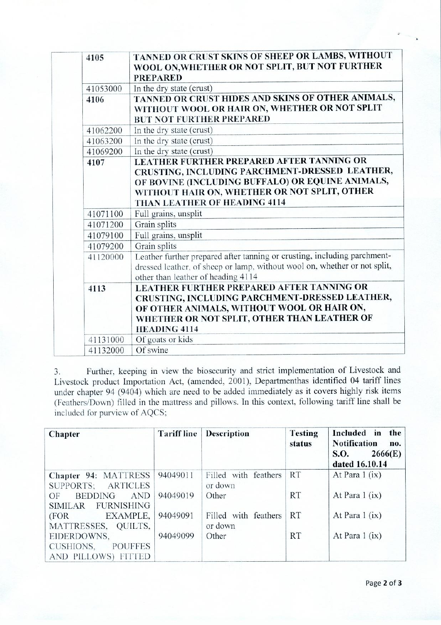| 4105     | TANNED OR CRUST SKINS OF SHEEP OR LAMBS, WITHOUT<br>WOOL ON, WHETHER OR NOT SPLIT, BUT NOT FURTHER<br><b>PREPARED</b>                                                                                                           |
|----------|---------------------------------------------------------------------------------------------------------------------------------------------------------------------------------------------------------------------------------|
| 41053000 | In the dry state (crust)                                                                                                                                                                                                        |
| 4106     | TANNED OR CRUST HIDES AND SKINS OF OTHER ANIMALS,<br>WITHOUT WOOL OR HAIR ON, WHETHER OR NOT SPLIT<br><b>BUT NOT FURTHER PREPARED</b>                                                                                           |
| 41062200 | In the dry state (crust)                                                                                                                                                                                                        |
| 41063200 | In the dry state (crust)                                                                                                                                                                                                        |
| 41069200 | In the dry state (crust)                                                                                                                                                                                                        |
| 4107     | LEATHER FURTHER PREPARED AFTER TANNING OR<br>CRUSTING, INCLUDING PARCHMENT-DRESSED LEATHER,<br>OF BOVINE (INCLUDING BUFFALO) OR EQUINE ANIMALS,<br>WITHOUT HAIR ON, WHETHER OR NOT SPLIT, OTHER<br>THAN LEATHER OF HEADING 4114 |
| 41071100 | Full grains, unsplit                                                                                                                                                                                                            |
| 41071200 | Grain splits                                                                                                                                                                                                                    |
| 41079100 | Full grains, unsplit                                                                                                                                                                                                            |
| 41079200 | Grain splits                                                                                                                                                                                                                    |
| 41120000 | Leather further prepared after tanning or crusting, including parchment-<br>dressed leather, of sheep or lamp, without wool on, whether or not split,<br>other than leather of heading 4114                                     |
| 4113     | LEATHER FURTHER PREPARED AFTER TANNING OR<br>CRUSTING, INCLUDING PARCHMENT-DRESSED LEATHER,<br>OF OTHER ANIMALS, WITHOUT WOOL OR HAIR ON,<br>WHETHER OR NOT SPLIT, OTHER THAN LEATHER OF<br><b>HEADING 4114</b>                 |
| 41131000 | Of goats or kids                                                                                                                                                                                                                |
| 41132000 | Of swine                                                                                                                                                                                                                        |

3. Further, keeping in view the biosecurity and strict implementation of Livestock and Livestock product Importation Act, (amended, 2001), Departmenthas identified 04 tariff lines under chapter 94 (9404) which are need to be added immediately as it covers highly risk items (Feathers/Down) filled in the mattress and pillows. In this context, following tariff line shall be included for purview of AQCS;

| Chapter                                                            | <b>Tariff line</b> | <b>Description</b>              | <b>Testing</b><br>status | Included in<br>the<br><b>Notification</b><br>no.<br>2666(E)<br><b>S.O.</b><br>dated 16.10.14 |
|--------------------------------------------------------------------|--------------------|---------------------------------|--------------------------|----------------------------------------------------------------------------------------------|
| Chapter 94: MATTRESS<br>SUPPORTS; ARTICLES                         | 94049011           | Filled with feathers<br>or down | <b>RT</b>                | At Para $1(ix)$                                                                              |
| <b>BEDDING</b><br><b>AND</b><br>OF<br><b>FURNISHING</b><br>SIMILAR | 94049019           | Other                           | <b>RT</b>                | At Para $1(ix)$                                                                              |
| EXAMPLE,<br>(FOR<br>MATTRESSES, QUILTS,                            | 94049091           | Filled with feathers<br>or down | <b>RT</b>                | At Para $1$ (ix)                                                                             |
| EIDERDOWNS,<br><b>POUFFES</b><br>CUSHIONS,<br>AND PILLOWS) FITTED  | 94049099           | Other                           | <b>RT</b>                | At Para $1$ (ix)                                                                             |